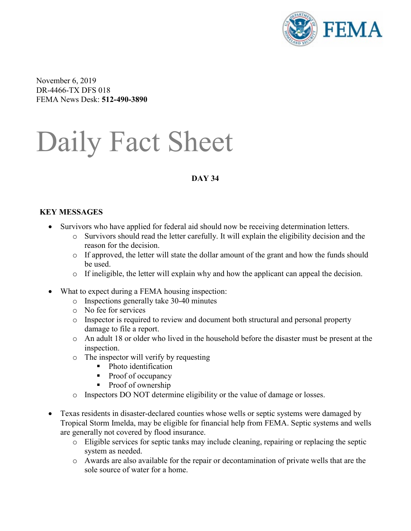

November 6, 2019 DR-4466-TX DFS 018 FEMA News Desk: **512-490-3890**

# Daily Fact Sheet

# **DAY 34**

### **KEY MESSAGES**

- Survivors who have applied for federal aid should now be receiving determination letters.
	- o Survivors should read the letter carefully. It will explain the eligibility decision and the reason for the decision.
	- $\circ$  If approved, the letter will state the dollar amount of the grant and how the funds should be used.
	- $\circ$  If ineligible, the letter will explain why and how the applicant can appeal the decision.
- What to expect during a FEMA housing inspection:
	- o Inspections generally take 30-40 minutes
	- o No fee for services
	- o Inspector is required to review and document both structural and personal property damage to file a report.
	- o An adult 18 or older who lived in the household before the disaster must be present at the inspection.
	- o The inspector will verify by requesting
		- Photo identification
		- Proof of occupancy
		- Proof of ownership
	- o Inspectors DO NOT determine eligibility or the value of damage or losses.
- Texas residents in disaster-declared counties whose wells or septic systems were damaged by Tropical Storm Imelda, may be eligible for financial help from FEMA. Septic systems and wells are generally not covered by flood insurance.
	- o Eligible services for septic tanks may include cleaning, repairing or replacing the septic system as needed.
	- o Awards are also available for the repair or decontamination of private wells that are the sole source of water for a home.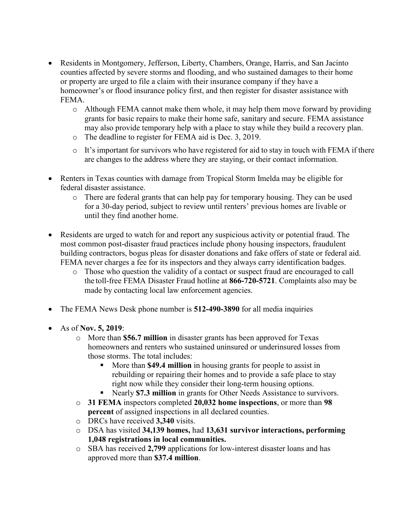- Residents in Montgomery, Jefferson, Liberty, Chambers, Orange, Harris, and San Jacinto counties affected by severe storms and flooding, and who sustained damages to their home or property are urged to file a claim with their insurance company if they have a homeowner's or flood insurance policy first, and then register for disaster assistance with FEMA.
	- o Although FEMA cannot make them whole, it may help them move forward by providing grants for basic repairs to make their home safe, sanitary and secure. FEMA assistance may also provide temporary help with a place to stay while they build a recovery plan.
	- o The deadline to register for FEMA aid is Dec. 3, 2019.
	- $\circ$  It's important for survivors who have registered for aid to stay in touch with FEMA if there are changes to the address where they are staying, or their contact information.
- Renters in Texas counties with damage from Tropical Storm Imelda may be eligible for federal disaster assistance.
	- o There are federal grants that can help pay for temporary housing. They can be used for a 30-day period, subject to review until renters' previous homes are livable or until they find another home.
- Residents are urged to watch for and report any suspicious activity or potential fraud. The most common post-disaster fraud practices include phony housing inspectors, fraudulent building contractors, bogus pleas for disaster donations and fake offers of state or federal aid. FEMA never charges a fee for its inspectors and they always carry identification badges.
	- o Those who question the validity of a contact or suspect fraud are encouraged to call the toll-free FEMA Disaster Fraud hotline at **866-720-5721**. Complaints also may be made by contacting local law enforcement agencies.
- The FEMA News Desk phone number is **512-490-3890** for all media inquiries
- As of **Nov. 5, 2019**:
	- o More than **\$56.7 million** in disaster grants has been approved for Texas homeowners and renters who sustained uninsured or underinsured losses from those storms. The total includes:
		- More than **\$49.4 million** in housing grants for people to assist in rebuilding or repairing their homes and to provide a safe place to stay right now while they consider their long-term housing options.
		- Nearly **\$7.3 million** in grants for Other Needs Assistance to survivors.
	- o **31 FEMA** inspectors completed **20,032 home inspections**, or more than **98 percent** of assigned inspections in all declared counties.
	- o DRCs have received **3,340** visits.
	- o DSA has visited **34,139 homes,** had **13,631 survivor interactions, performing 1,048 registrations in local communities.**
	- o SBA has received **2,799** applications for low-interest disaster loans and has approved more than **\$37.4 million**.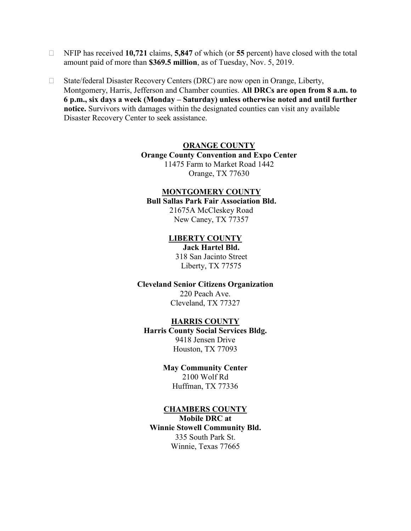- NFIP has received **10,721** claims, **5,847** of which (or **55** percent) have closed with the total amount paid of more than **\$369.5 million**, as of Tuesday, Nov. 5, 2019.
- □ State/federal Disaster Recovery Centers (DRC) are now open in Orange, Liberty, Montgomery, Harris, Jefferson and Chamber counties. **All DRCs are open from 8 a.m. to 6 p.m., six days a week (Monday – Saturday) unless otherwise noted and until further notice.** Survivors with damages within the designated counties can visit any available Disaster Recovery Center to seek assistance.

#### **ORANGE COUNTY**

**Orange County Convention and Expo Center** 11475 Farm to Market Road 1442

Orange, TX 77630

# **MONTGOMERY COUNTY**

### **Bull Sallas Park Fair Association Bld.**

21675A McCleskey Road New Caney, TX 77357

#### **LIBERTY COUNTY**

**Jack Hartel Bld.** 318 San Jacinto Street Liberty, TX 77575

#### **Cleveland Senior Citizens Organization**

220 Peach Ave. Cleveland, TX 77327

#### **HARRIS COUNTY**

**Harris County Social Services Bldg.** 9418 Jensen Drive Houston, TX 77093

#### **May Community Center**

2100 Wolf Rd Huffman, TX 77336

#### **CHAMBERS COUNTY**

**Mobile DRC at Winnie Stowell Community Bld.** 335 South Park St. Winnie, Texas 77665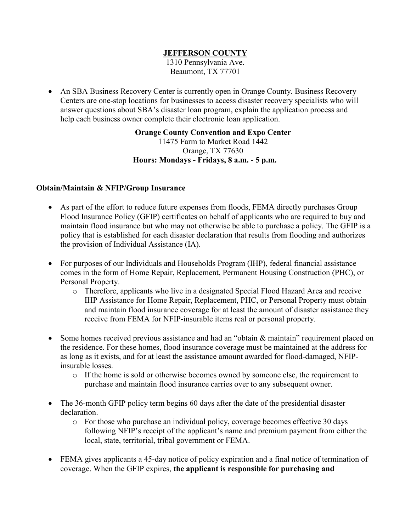# **JEFFERSON COUNTY**

1310 Pennsylvania Ave. Beaumont, TX 77701

• An SBA Business Recovery Center is currently open in Orange County. Business Recovery Centers are one-stop locations for businesses to access disaster recovery specialists who will answer questions about SBA's disaster loan program, explain the application process and help each business owner complete their electronic loan application.

> **Orange County Convention and Expo Center** 11475 Farm to Market Road 1442 Orange, TX 77630 **Hours: Mondays - Fridays, 8 a.m. - 5 p.m.**

# **Obtain/Maintain & NFIP/Group Insurance**

- As part of the effort to reduce future expenses from floods, FEMA directly purchases Group Flood Insurance Policy (GFIP) certificates on behalf of applicants who are required to buy and maintain flood insurance but who may not otherwise be able to purchase a policy. The GFIP is a policy that is established for each disaster declaration that results from flooding and authorizes the provision of Individual Assistance (IA).
- For purposes of our Individuals and Households Program (IHP), federal financial assistance comes in the form of Home Repair, Replacement, Permanent Housing Construction (PHC), or Personal Property.
	- o Therefore, applicants who live in a designated Special Flood Hazard Area and receive IHP Assistance for Home Repair, Replacement, PHC, or Personal Property must obtain and maintain flood insurance coverage for at least the amount of disaster assistance they receive from FEMA for NFIP-insurable items real or personal property.
- Some homes received previous assistance and had an "obtain & maintain" requirement placed on the residence. For these homes, flood insurance coverage must be maintained at the address for as long as it exists, and for at least the assistance amount awarded for flood-damaged, NFIPinsurable losses.
	- o If the home is sold or otherwise becomes owned by someone else, the requirement to purchase and maintain flood insurance carries over to any subsequent owner.
- The 36-month GFIP policy term begins 60 days after the date of the presidential disaster declaration.
	- o For those who purchase an individual policy, coverage becomes effective 30 days following NFIP's receipt of the applicant's name and premium payment from either the local, state, territorial, tribal government or FEMA.
- FEMA gives applicants a 45-day notice of policy expiration and a final notice of termination of coverage. When the GFIP expires, **the applicant is responsible for purchasing and**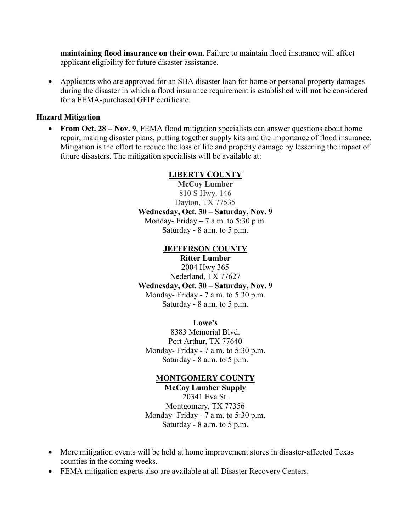**maintaining flood insurance on their own.** Failure to maintain flood insurance will affect applicant eligibility for future disaster assistance.

• Applicants who are approved for an SBA disaster loan for home or personal property damages during the disaster in which a flood insurance requirement is established will **not** be considered for a FEMA-purchased GFIP certificate.

#### **Hazard Mitigation**

• **From Oct. 28** – **Nov. 9**, FEMA flood mitigation specialists can answer questions about home repair, making disaster plans, putting together supply kits and the importance of flood insurance. Mitigation is the effort to reduce the loss of life and property damage by lessening the impact of future disasters. The mitigation specialists will be available at:

# **LIBERTY COUNTY**

**McCoy Lumber** 810 S Hwy. 146 Dayton, TX 77535 **Wednesday, Oct. 30 – Saturday, Nov. 9** Monday- Friday  $-7$  a.m. to 5:30 p.m. Saturday - 8 a.m. to 5 p.m.

# **JEFFERSON COUNTY**

**Ritter Lumber**

2004 Hwy 365 Nederland, TX 77627 **Wednesday, Oct. 30 – Saturday, Nov. 9** Monday- Friday - 7 a.m. to 5:30 p.m. Saturday - 8 a.m. to 5 p.m.

**Lowe's**

8383 Memorial Blvd. Port Arthur, TX 77640 Monday- Friday - 7 a.m. to 5:30 p.m. Saturday - 8 a.m. to 5 p.m.

#### **MONTGOMERY COUNTY**

**McCoy Lumber Supply** 20341 Eva St. Montgomery, TX 77356 Monday- Friday - 7 a.m. to 5:30 p.m. Saturday - 8 a.m. to 5 p.m.

- More mitigation events will be held at home improvement stores in disaster-affected Texas counties in the coming weeks.
- FEMA mitigation experts also are available at all Disaster Recovery Centers.